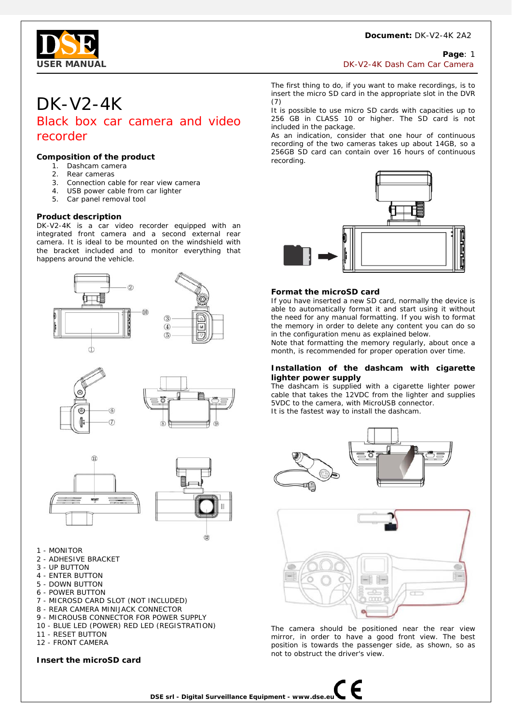#### **Document:** DK-V2-4K 2A2



## **Page**: 1

**USER MANUAL** DISAGREE AND CONSIDER A SERVICE OF SALE OF A SERVICE OF A SERVICE OF A SERVICE OF CAMERA AND THE SALE OF CAMERA AND THE SERVICE OF CAMERA AND THE SALE OF CAMERA AND THE SERVICE OF CAMERA AND THE SALE OF CAMER

## DK-V2-4K

Black box car camera and video recorder

#### **Composition of the product**

- 1. Dashcam camera
- 2. Rear cameras
- 3. Connection cable for rear view camera
- 4. USB power cable from car lighter
- 5. Car panel removal tool

#### **Product description**

DK-V2-4K is a car video recorder equipped with an integrated front camera and a second external rear camera. It is ideal to be mounted on the windshield with the bracket included and to monitor everything that happens around the vehicle.







- 1 MONITOR
- 2 ADHESIVE BRACKET
- 3 UP BUTTON
- 4 ENTER BUTTON
- 5 DOWN BUTTON
- 6 POWER BUTTON
- 7 MICROSD CARD SLOT (NOT INCLUDED)
- 8 REAR CAMERA MINIJACK CONNECTOR
- 9 MICROUSB CONNECTOR FOR POWER SUPPLY
- 10 BLUE LED (POWER) RED LED (REGISTRATION)
- 11 RESET BUTTON 12 - FRONT CAMERA

### **Insert the microSD card**

The first thing to do, if you want to make recordings, is to insert the micro SD card in the appropriate slot in the DVR (7)

It is possible to use micro SD cards with capacities up to 256 GB in CLASS 10 or higher. The SD card is not included in the package.

As an indication, consider that one hour of continuous recording of the two cameras takes up about 14GB, so a 256GB SD card can contain over 16 hours of continuous recording.



#### **Format the microSD card**

If you have inserted a new SD card, normally the device is able to automatically format it and start using it without the need for any manual formatting. If you wish to format the memory in order to delete any content you can do so in the configuration menu as explained below.

Note that formatting the memory regularly, about once a month, is recommended for proper operation over time.

#### **Installation of the dashcam with cigarette lighter power supply**

The dashcam is supplied with a cigarette lighter power cable that takes the 12VDC from the lighter and supplies 5VDC to the camera, with MicroUSB connector. It is the fastest way to install the dashcam.





The camera should be positioned near the rear view mirror, in order to have a good front view. The best position is towards the passenger side, as shown, so as not to obstruct the driver's view.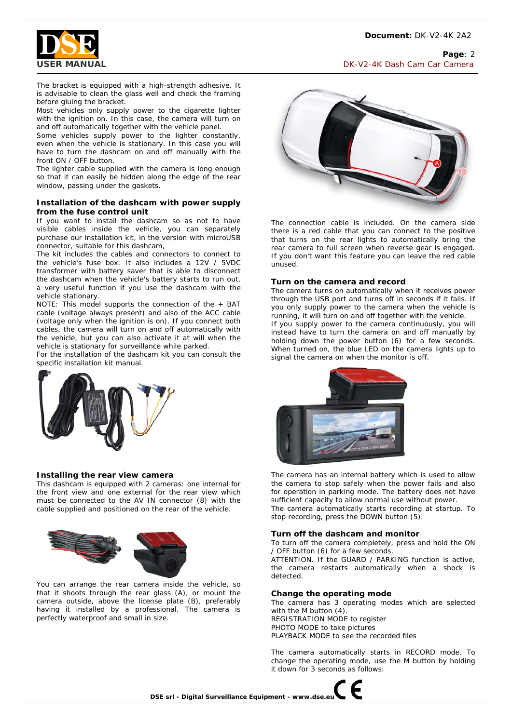

**Page**: 2 **USER MANUAL** DISAGREE AND CONSIDER A SERVER ON THE USE OF A SERVER ON THE USE OF A SERVER OF CAMERA ON THE USE OF CAMERA AND THE USE OF CAMERA OF CAMERA AND THE USE OF CAMERA AND THE USE OF CAMERA AND THE USE OF CAMERA AN

The bracket is equipped with a high-strength adhesive. It is advisable to clean the glass well and check the framing before gluing the bracket.

Most vehicles only supply power to the cigarette lighter with the ignition on. In this case, the camera will turn on and off automatically together with the vehicle panel.

Some vehicles supply power to the lighter constantly, even when the vehicle is stationary. In this case you will have to turn the dashcam on and off manually with the front ON / OFF button.

The lighter cable supplied with the camera is long enough so that it can easily be hidden along the edge of the rear window, passing under the gaskets.

#### **Installation of the dashcam with power supply from the fuse control unit**

If you want to install the dashcam so as not to have visible cables inside the vehicle, you can separately purchase our installation kit, in the version with microUSB connector, suitable for this dashcam,

The kit includes the cables and connectors to connect to the vehicle's fuse box. It also includes a 12V / 5VDC transformer with battery saver that is able to disconnect the dashcam when the vehicle's battery starts to run out, a very useful function if you use the dashcam with the vehicle stationary.

NOTE: This model supports the connection of the + BAT cable (voltage always present) and also of the ACC cable (voltage only when the ignition is on). If you connect both cables, the camera will turn on and off automatically with the vehicle, but you can also activate it at will when the vehicle is stationary for surveillance while parked.

For the installation of the dashcam kit you can consult the specific installation kit manual.



#### **Installing the rear view camera**

This dashcam is equipped with 2 cameras: one internal for the front view and one external for the rear view which must be connected to the AV IN connector (8) with the cable supplied and positioned on the rear of the vehicle.



You can arrange the rear camera inside the vehicle, so that it shoots through the rear glass (A), or mount the camera outside, above the license plate (B), preferably having it installed by a professional. The camera is perfectly waterproof and small in size.



The connection cable is included. On the camera side there is a red cable that you can connect to the positive that turns on the rear lights to automatically bring the rear camera to full screen when reverse gear is engaged. If you don't want this feature you can leave the red cable unused.

#### **Turn on the camera and record**

The camera turns on automatically when it receives power through the USB port and turns off in seconds if it fails. If you only supply power to the camera when the vehicle is running, it will turn on and off together with the vehicle. If you supply power to the camera continuously, you will instead have to turn the camera on and off manually by holding down the power button (6) for a few seconds. When turned on, the blue LED on the camera lights up to signal the camera on when the monitor is off.



The camera has an internal battery which is used to allow the camera to stop safely when the power fails and also for operation in parking mode. The battery does not have sufficient capacity to allow normal use without power.

The camera automatically starts recording at startup. To stop recording, press the DOWN button (5).

#### **Turn off the dashcam and monitor**

To turn off the camera completely, press and hold the ON / OFF button (6) for a few seconds.

ATTENTION. If the GUARD / PARKING function is active, the camera restarts automatically when a shock is detected.

#### **Change the operating mode**

The camera has 3 operating modes which are selected with the M button (4). REGISTRATION MODE to register PHOTO MODE to take pictures PLAYBACK MODE to see the recorded files

The camera automatically starts in RECORD mode. To change the operating mode, use the M button by holding it down for 3 seconds as follows:

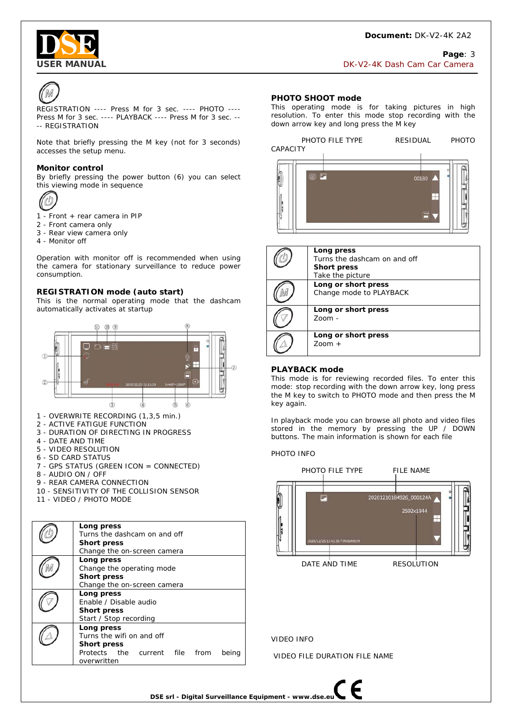

#### **Page**: 3 **USER MANUAL** DK-V2-4K Dash Cam Car Camera



REGISTRATION ---- Press M for 3 sec. ---- PHOTO ---- Press M for 3 sec. ---- PLAYBACK ---- Press M for 3 sec. -- -- REGISTRATION

Note that briefly pressing the M key (not for 3 seconds) accesses the setup menu.

#### **Monitor control**

By briefly pressing the power button (6) you can select this viewing mode in sequence



1 - Front + rear camera in PIP

- 2 Front camera only
- 3 Rear view camera only
- 4 Monitor off

Operation with monitor off is recommended when using the camera for stationary surveillance to reduce power consumption.

#### **REGISTRATION mode (auto start)**

This is the normal operating mode that the dashcam automatically activates at startup



- 1 OVERWRITE RECORDING (1,3,5 min.)
- 2 ACTIVE FATIGUE FUNCTION
- 3 DURATION OF DIRECTING IN PROGRESS
- 4 DATE AND TIME
- 5 VIDEO RESOLUTION
- 6 SD CARD STATUS
- 7 GPS STATUS (GREEN ICON = CONNECTED)
- 8 AUDIO ON / OFF
- 9 REAR CAMERA CONNECTION
- 10 SENSITIVITY OF THE COLLISION SENSOR
- 11 VIDEO / PHOTO MODE

| Long press<br>Turns the dashcam on and off<br><b>Short press</b><br>Change the on-screen camera                         |
|-------------------------------------------------------------------------------------------------------------------------|
| Long press<br>Change the operating mode<br><b>Short press</b><br>Change the on-screen camera                            |
| Long press<br>Enable / Disable audio<br><b>Short press</b><br>Start / Stop recording                                    |
| Long press<br>Turns the wifi on and off<br><b>Short press</b><br>Protects the current file from<br>being<br>overwritten |

#### **PHOTO SHOOT mode**

This operating mode is for taking pictures in high resolution. To enter this mode stop recording with the down arrow key and long press the M key



| Long press<br>Turns the dashcam on and off<br><b>Short press</b><br>Take the picture |
|--------------------------------------------------------------------------------------|
| Long or short press<br>Change mode to PLAYBACK                                       |
| Long or short press<br>$700m -$                                                      |
| Long or short press<br>$Z0$ cm $+$                                                   |

#### **PLAYBACK mode**

This mode is for reviewing recorded files. To enter this mode: stop recording with the down arrow key, long press the M key to switch to PHOTO mode and then press the M key again.

In playback mode you can browse all photo and video files stored in the memory by pressing the UP / DOWN buttons. The main information is shown for each file

#### PHOTO INFO



VIDEO INFO

VIDEO FILE DURATION FILE NAME

F

**DSE srl - Digital Surveillance Equipment - www.dse.eu**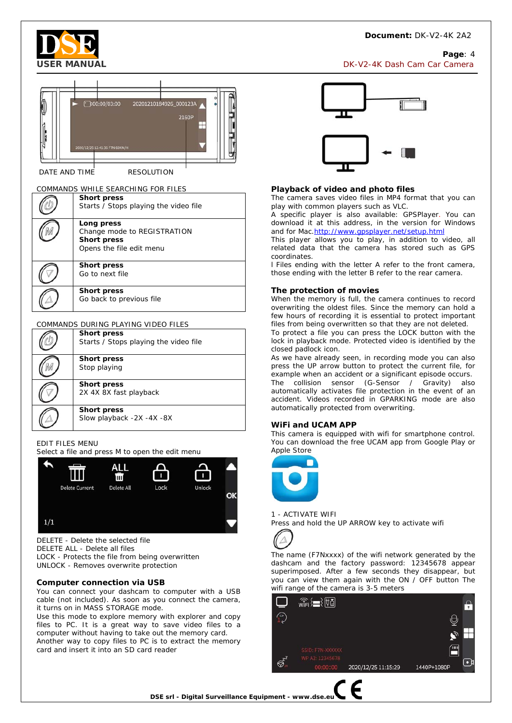#### **Document:** DK-V2-4K 2A2

**Page**: 4



# 20201210184926 000123A 00:00/03:00 21601

DATE AND TIME RESOLUTION

#### COMMANDS WHILE SEARCHING FOR FILES

|  | <b>Short press</b><br>Starts / Stops playing the video file                                 |  |
|--|---------------------------------------------------------------------------------------------|--|
|  | Long press<br>Change mode to REGISTRATION<br><b>Short press</b><br>Opens the file edit menu |  |
|  | <b>Short press</b><br>Go to next file                                                       |  |
|  | <b>Short press</b><br>Go back to previous file                                              |  |

#### COMMANDS DURING PLAYING VIDEO FILES

| <b>Short press</b><br>Starts / Stops playing the video file |
|-------------------------------------------------------------|
| <b>Short press</b><br>Stop playing                          |
| <b>Short press</b><br>2X 4X 8X fast playback                |
| <b>Short press</b><br>Slow playback -2X -4X -8X             |

#### EDIT FILES MENU

Select a file and press M to open the edit menu



DELETE - Delete the selected file DELETE ALL - Delete all files LOCK - Protects the file from being overwritten UNLOCK - Removes overwrite protection

#### **Computer connection via USB**

You can connect your dashcam to computer with a USB cable (not included). As soon as you connect the camera, it turns on in MASS STORAGE mode.

Use this mode to explore memory with explorer and copy files to PC. It is a great way to save video files to a computer without having to take out the memory card. Another way to copy files to PC is to extract the memory card and insert it into an SD card reader



#### **Playback of video and photo files**

The camera saves video files in MP4 format that you can play with common players such as VLC.

A specific player is also available: GPSPlayer. You can download it at this address, in the version for Windows and for Mac.http://www.gpsplayer.net/setup.html

This player allows you to play, in addition to video, all related data that the camera has stored such as GPS coordinates.

l Files ending with the letter A refer to the front camera, those ending with the letter B refer to the rear camera.

#### **The protection of movies**

When the memory is full, the camera continues to record overwriting the oldest files. Since the memory can hold a few hours of recording it is essential to protect important files from being overwritten so that they are not deleted.

To protect a file you can press the LOCK button with the lock in playback mode. Protected video is identified by the closed padlock icon.

As we have already seen, in recording mode you can also press the UP arrow button to protect the current file, for example when an accident or a significant episode occurs. The collision sensor (G-Sensor / Gravity) also automatically activates file protection in the event of an accident. Videos recorded in GPARKING mode are also automatically protected from overwriting.

#### **WiFi and UCAM APP**

This camera is equipped with wifi for smartphone control. You can download the free UCAM app from Google Play or Apple Store



1 - ACTIVATE WIFI Press and hold the UP ARROW key to activate wifi



The name (F7Nxxxx) of the wifi network generated by the dashcam and the factory password: 12345678 appear superimposed. After a few seconds they disappear, but you can view them again with the ON / OFF button The wifi range of the camera is 3-5 meters



**DSE srl - Digital Surveillance Equipment - www.dse.eu**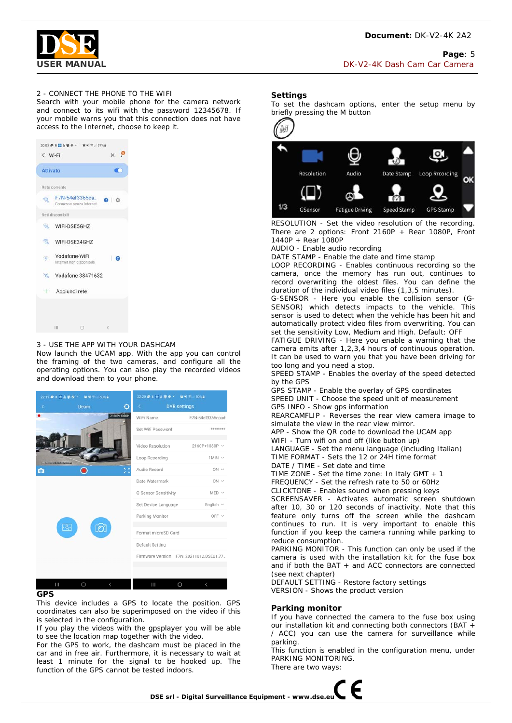

#### **Page**: 5 **USER MANUAL** DISAGRAM DESCRIPTION OF THE SERVICE OF THE USE OF THE USE OF THE USE OF CAMERA OF CAMERA AND THE USE OF CAMERA OF CAMERA AND THE USE OF CAMERA OF CAMERA AND THE USE OF CAMERA OF CAMERA AND THE USE OF CAMERA A

#### 2 - CONNECT THE PHONE TO THE WIFI

Search with your mobile phone for the camera network and connect to its wifi with the password 12345678. If your mobile warns you that this connection does not have access to the Internet, choose to keep it.



#### 3 - USE THE APP WITH YOUR DASHCAM

Now launch the UCAM app. With the app you can control the framing of the two cameras, and configure all the operating options. You can also play the recorded videos and download them to your phone.

| 22:19 参照者由平安· 管相节 50%自 | 22:20 ● K ■ A 平 ● ・ ■ N = 50%。         |
|------------------------|----------------------------------------|
| <b>Ucam</b><br>٥<br>×  | <b>DVR</b> settings<br>ĸ.              |
| 2160P+1080P            | WiFi Name<br>F7N-54ef3365caad          |
|                        | ********<br>Set Wifi Password          |
|                        | Video Resolution<br>2160P+1080P ~      |
|                        | Loop Recording<br>$1$ MIN $\vee$       |
| Ņ,<br>$\bullet$        | Audio Record<br>$ON$ $\vee$            |
|                        | Date Watermark<br>$ON$ $\vee$          |
|                        | G-Sensor Sensitivity<br>$MED \vee$     |
|                        | English $\vee$<br>Set Device Language  |
|                        | OFF $\vee$<br>Parking Monitor          |
| $\Omega$               | Format microSD Card                    |
|                        | Default Setting                        |
|                        | Firmware Version F7N_20211012.DSE01.77 |
|                        |                                        |

#### **GPS**

This device includes a GPS to locate the position. GPS coordinates can also be superimposed on the video if this is selected in the configuration.

If you play the videos with the gpsplayer you will be able to see the location map together with the video.

For the GPS to work, the dashcam must be placed in the car and in free air. Furthermore, it is necessary to wait at least 1 minute for the signal to be hooked up. The function of the GPS cannot be tested indoors.

#### **Settings**

To set the dashcam options, enter the setup menu by briefly pressing the M button



RESOLUTION - Set the video resolution of the recording. There are 2 options: Front 2160P + Rear 1080P, Front 1440P + Rear 1080P

AUDIO - Enable audio recording

DATE STAMP - Enable the date and time stamp

LOOP RECORDING - Enables continuous recording so the camera, once the memory has run out, continues to record overwriting the oldest files. You can define the duration of the individual video files (1,3,5 minutes).

G-SENSOR - Here you enable the collision sensor (G-SENSOR) which detects impacts to the vehicle. This sensor is used to detect when the vehicle has been hit and automatically protect video files from overwriting. You can set the sensitivity Low, Medium and High. Default: OFF

FATIGUE DRIVING - Here you enable a warning that the camera emits after 1,2,3,4 hours of continuous operation. It can be used to warn you that you have been driving for too long and you need a stop.

SPEED STAMP - Enables the overlay of the speed detected by the GPS

GPS STAMP - Enable the overlay of GPS coordinates SPEED UNIT - Choose the speed unit of measurement GPS INFO - Show gps information

REARCAMFLIP - Reverses the rear view camera image to simulate the view in the rear view mirror.

APP - Show the QR code to download the UCAM app

WIFI - Turn wifi on and off (like button up) LANGUAGE - Set the menu language (including Italian) TIME FORMAT - Sets the 12 or 24H time format

DATE / TIME - Set date and time

TIME ZONE - Set the time zone: In Italy GMT + 1

FREQUENCY - Set the refresh rate to 50 or 60Hz CLICKTONE - Enables sound when pressing keys

SCREENSAVER - Activates automatic screen shutdown

after 10, 30 or 120 seconds of inactivity. Note that this feature only turns off the screen while the dashcam continues to run. It is very important to enable this function if you keep the camera running while parking to reduce consumption.

PARKING MONITOR - This function can only be used if the camera is used with the installation kit for the fuse box and if both the BAT + and ACC connectors are connected (see next chapter)

DEFAULT SETTING - Restore factory settings VERSION - Shows the product version

#### **Parking monitor**

If you have connected the camera to the fuse box using our installation kit and connecting both connectors (BAT + / ACC) you can use the camera for surveillance while parking.

This function is enabled in the configuration menu, under PARKING MONITORING. There are two ways: